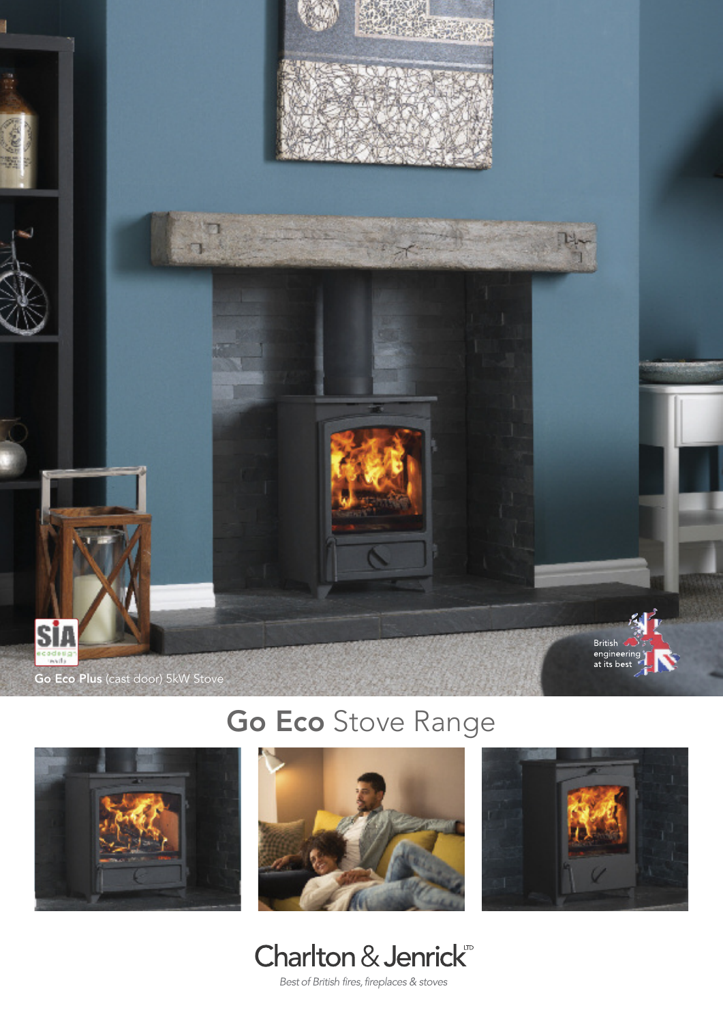

## **Go Eco** Stove Range









Best of British fires, fireplaces & stoves